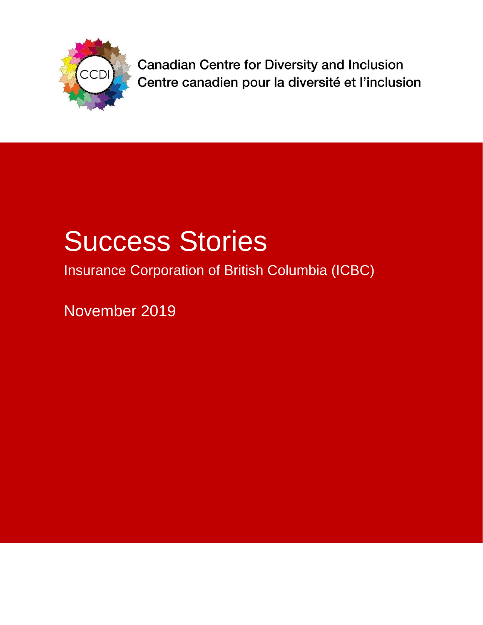

**Canadian Centre for Diversity and Inclusion** Centre canadien pour la diversité et l'inclusion

# Success Stories

Insurance Corporation of British Columbia (ICBC)

November 2019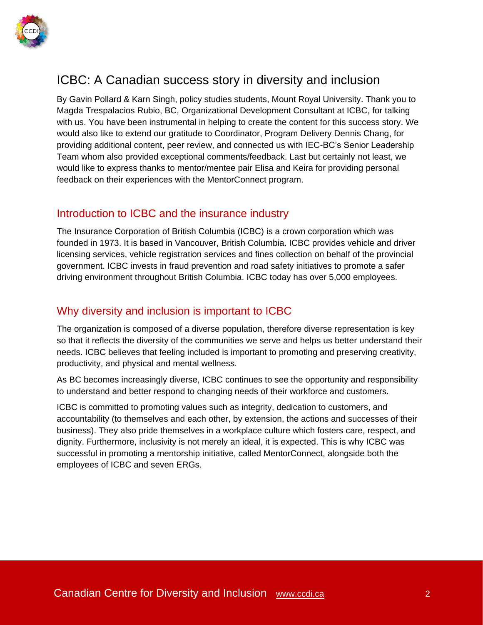

## ICBC: A Canadian success story in diversity and inclusion

By Gavin Pollard & Karn Singh, policy studies students, Mount Royal University. Thank you to Magda Trespalacios Rubio, BC, Organizational Development Consultant at ICBC, for talking with us. You have been instrumental in helping to create the content for this success story. We would also like to extend our gratitude to Coordinator, Program Delivery Dennis Chang, for providing additional content, peer review, and connected us with IEC-BC's Senior Leadership Team whom also provided exceptional comments/feedback. Last but certainly not least, we would like to express thanks to mentor/mentee pair Elisa and Keira for providing personal feedback on their experiences with the MentorConnect program.

#### Introduction to ICBC and the insurance industry

The Insurance Corporation of British Columbia (ICBC) is a crown corporation which was founded in 1973. It is based in Vancouver, British Columbia. ICBC provides vehicle and driver licensing services, vehicle registration services and fines collection on behalf of the provincial government. ICBC invests in fraud prevention and road safety initiatives to promote a safer driving environment throughout British Columbia. ICBC today has over 5,000 employees.

#### Why diversity and inclusion is important to ICBC

The organization is composed of a diverse population, therefore diverse representation is key so that it reflects the diversity of the communities we serve and helps us better understand their needs. ICBC believes that feeling included is important to promoting and preserving creativity, productivity, and physical and mental wellness.

As BC becomes increasingly diverse, ICBC continues to see the opportunity and responsibility to understand and better respond to changing needs of their workforce and customers.

ICBC is committed to promoting values such as integrity, dedication to customers, and accountability (to themselves and each other, by extension, the actions and successes of their business). They also pride themselves in a workplace culture which fosters care, respect, and dignity. Furthermore, inclusivity is not merely an ideal, it is expected. This is why ICBC was successful in promoting a mentorship initiative, called MentorConnect, alongside both the employees of ICBC and seven ERGs.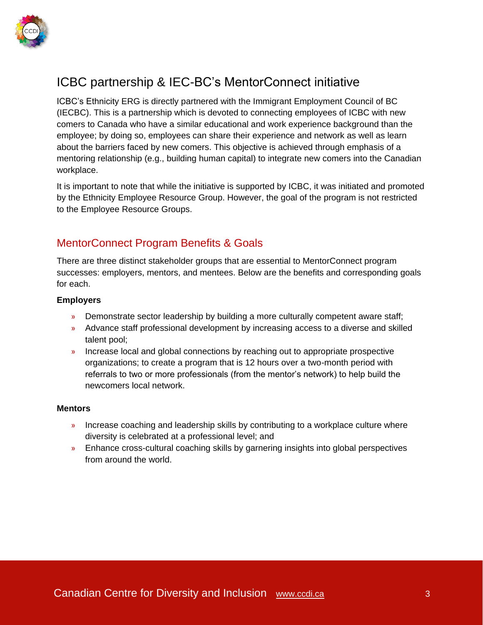

# ICBC partnership & IEC-BC's MentorConnect initiative

ICBC's Ethnicity ERG is directly partnered with the Immigrant Employment Council of BC (IECBC). This is a partnership which is devoted to connecting employees of ICBC with new comers to Canada who have a similar educational and work experience background than the employee; by doing so, employees can share their experience and network as well as learn about the barriers faced by new comers. This objective is achieved through emphasis of a mentoring relationship (e.g., building human capital) to integrate new comers into the Canadian workplace.

It is important to note that while the initiative is supported by ICBC, it was initiated and promoted by the Ethnicity Employee Resource Group. However, the goal of the program is not restricted to the Employee Resource Groups.

## MentorConnect Program Benefits & Goals

There are three distinct stakeholder groups that are essential to MentorConnect program successes: employers, mentors, and mentees. Below are the benefits and corresponding goals for each.

#### **Employers**

- » Demonstrate sector leadership by building a more culturally competent aware staff;
- » Advance staff professional development by increasing access to a diverse and skilled talent pool;
- » Increase local and global connections by reaching out to appropriate prospective organizations; to create a program that is 12 hours over a two-month period with referrals to two or more professionals (from the mentor's network) to help build the newcomers local network.

#### **Mentors**

- » Increase coaching and leadership skills by contributing to a workplace culture where diversity is celebrated at a professional level; and
- » Enhance cross-cultural coaching skills by garnering insights into global perspectives from around the world.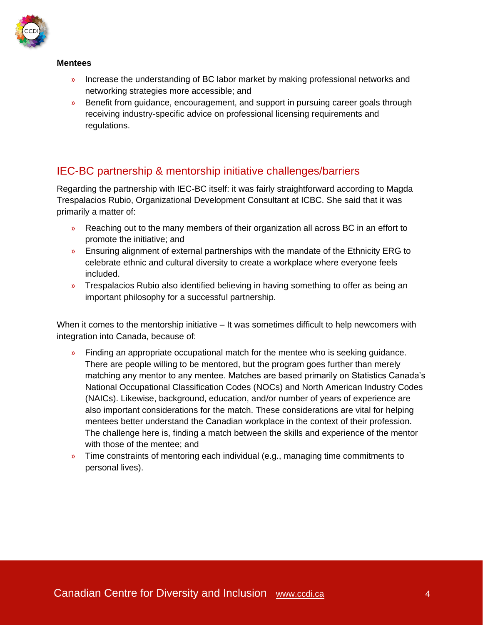

#### **Mentees**

- » Increase the understanding of BC labor market by making professional networks and networking strategies more accessible; and
- » Benefit from guidance, encouragement, and support in pursuing career goals through receiving industry-specific advice on professional licensing requirements and regulations.

## IEC-BC partnership & mentorship initiative challenges/barriers

Regarding the partnership with IEC-BC itself: it was fairly straightforward according to Magda Trespalacios Rubio, Organizational Development Consultant at ICBC. She said that it was primarily a matter of:

- » Reaching out to the many members of their organization all across BC in an effort to promote the initiative; and
- » Ensuring alignment of external partnerships with the mandate of the Ethnicity ERG to celebrate ethnic and cultural diversity to create a workplace where everyone feels included.
- » Trespalacios Rubio also identified believing in having something to offer as being an important philosophy for a successful partnership.

When it comes to the mentorship initiative – It was sometimes difficult to help newcomers with integration into Canada, because of:

- » Finding an appropriate occupational match for the mentee who is seeking guidance. There are people willing to be mentored, but the program goes further than merely matching any mentor to any mentee. Matches are based primarily on Statistics Canada's National Occupational Classification Codes (NOCs) and North American Industry Codes (NAICs). Likewise, background, education, and/or number of years of experience are also important considerations for the match. These considerations are vital for helping mentees better understand the Canadian workplace in the context of their profession. The challenge here is, finding a match between the skills and experience of the mentor with those of the mentee; and
- » Time constraints of mentoring each individual (e.g., managing time commitments to personal lives).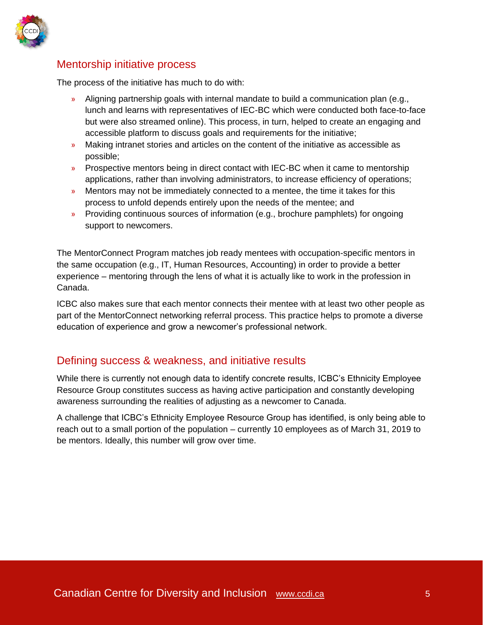

### Mentorship initiative process

The process of the initiative has much to do with:

- » Aligning partnership goals with internal mandate to build a communication plan (e.g., lunch and learns with representatives of IEC-BC which were conducted both face-to-face but were also streamed online). This process, in turn, helped to create an engaging and accessible platform to discuss goals and requirements for the initiative;
- » Making intranet stories and articles on the content of the initiative as accessible as possible;
- » Prospective mentors being in direct contact with IEC-BC when it came to mentorship applications, rather than involving administrators, to increase efficiency of operations;
- » Mentors may not be immediately connected to a mentee, the time it takes for this process to unfold depends entirely upon the needs of the mentee; and
- » Providing continuous sources of information (e.g., brochure pamphlets) for ongoing support to newcomers.

The MentorConnect Program matches job ready mentees with occupation-specific mentors in the same occupation (e.g., IT, Human Resources, Accounting) in order to provide a better experience – mentoring through the lens of what it is actually like to work in the profession in Canada.

ICBC also makes sure that each mentor connects their mentee with at least two other people as part of the MentorConnect networking referral process. This practice helps to promote a diverse education of experience and grow a newcomer's professional network.

#### Defining success & weakness, and initiative results

While there is currently not enough data to identify concrete results, ICBC's Ethnicity Employee Resource Group constitutes success as having active participation and constantly developing awareness surrounding the realities of adjusting as a newcomer to Canada.

A challenge that ICBC's Ethnicity Employee Resource Group has identified, is only being able to reach out to a small portion of the population – currently 10 employees as of March 31, 2019 to be mentors. Ideally, this number will grow over time.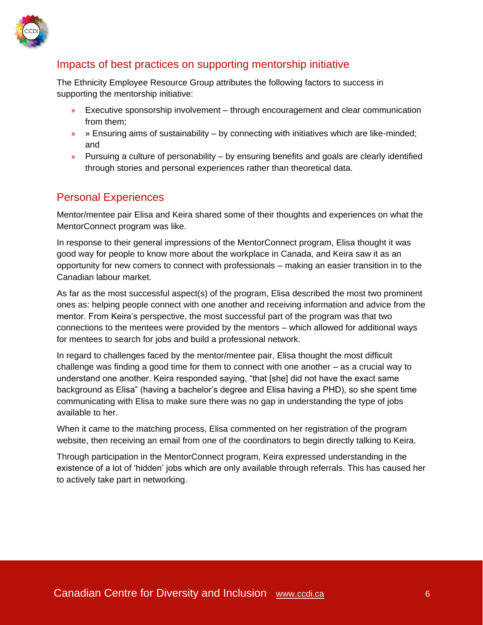

## Impacts of best practices on supporting mentorship initiative

The Ethnicity Employee Resource Group attributes the following factors to success in supporting the mentorship initiative:

- » Executive sponsorship involvement through encouragement and clear communication from them;
- $\rightarrow$  » Ensuring aims of sustainability by connecting with initiatives which are like-minded; and
- $\rightarrow$  Pursuing a culture of personability by ensuring benefits and goals are clearly identified through stories and personal experiences rather than theoretical data.

## Personal Experiences

Mentor/mentee pair Elisa and Keira shared some of their thoughts and experiences on what the MentorConnect program was like.

In response to their general impressions of the MentorConnect program, Elisa thought it was good way for people to know more about the workplace in Canada, and Keira saw it as an opportunity for new comers to connect with professionals – making an easier transition in to the Canadian labour market.

As far as the most successful aspect(s) of the program, Elisa described the most two prominent ones as: helping people connect with one another and receiving information and advice from the mentor. From Keira's perspective, the most successful part of the program was that two connections to the mentees were provided by the mentors – which allowed for additional ways for mentees to search for jobs and build a professional network.

In regard to challenges faced by the mentor/mentee pair, Elisa thought the most difficult challenge was finding a good time for them to connect with one another – as a crucial way to understand one another. Keira responded saying, "that [she] did not have the exact same background as Elisa" (having a bachelor's degree and Elisa having a PHD), so she spent time communicating with Elisa to make sure there was no gap in understanding the type of jobs available to her.

When it came to the matching process, Elisa commented on her registration of the program website, then receiving an email from one of the coordinators to begin directly talking to Keira.

Through participation in the MentorConnect program, Keira expressed understanding in the existence of a lot of 'hidden' jobs which are only available through referrals. This has caused her to actively take part in networking.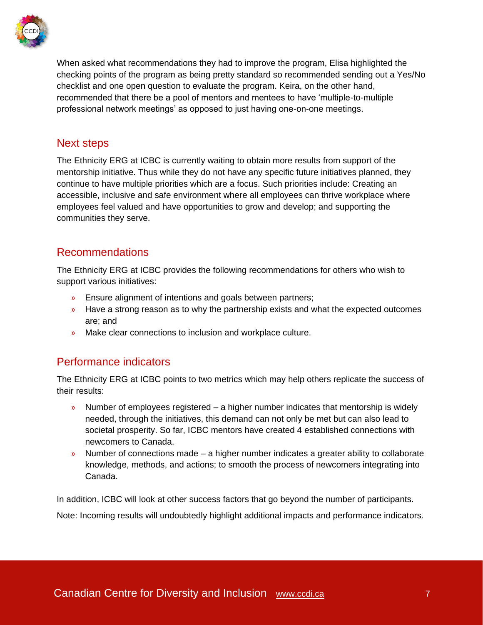

When asked what recommendations they had to improve the program, Elisa highlighted the checking points of the program as being pretty standard so recommended sending out a Yes/No checklist and one open question to evaluate the program. Keira, on the other hand, recommended that there be a pool of mentors and mentees to have 'multiple-to-multiple professional network meetings' as opposed to just having one-on-one meetings.

#### Next steps

The Ethnicity ERG at ICBC is currently waiting to obtain more results from support of the mentorship initiative. Thus while they do not have any specific future initiatives planned, they continue to have multiple priorities which are a focus. Such priorities include: Creating an accessible, inclusive and safe environment where all employees can thrive workplace where employees feel valued and have opportunities to grow and develop; and supporting the communities they serve.

#### Recommendations

The Ethnicity ERG at ICBC provides the following recommendations for others who wish to support various initiatives:

- » Ensure alignment of intentions and goals between partners;
- » Have a strong reason as to why the partnership exists and what the expected outcomes are; and
- » Make clear connections to inclusion and workplace culture.

#### Performance indicators

The Ethnicity ERG at ICBC points to two metrics which may help others replicate the success of their results:

- » Number of employees registered a higher number indicates that mentorship is widely needed, through the initiatives, this demand can not only be met but can also lead to societal prosperity. So far, ICBC mentors have created 4 established connections with newcomers to Canada.
- » Number of connections made a higher number indicates a greater ability to collaborate knowledge, methods, and actions; to smooth the process of newcomers integrating into Canada.

In addition, ICBC will look at other success factors that go beyond the number of participants. Note: Incoming results will undoubtedly highlight additional impacts and performance indicators.